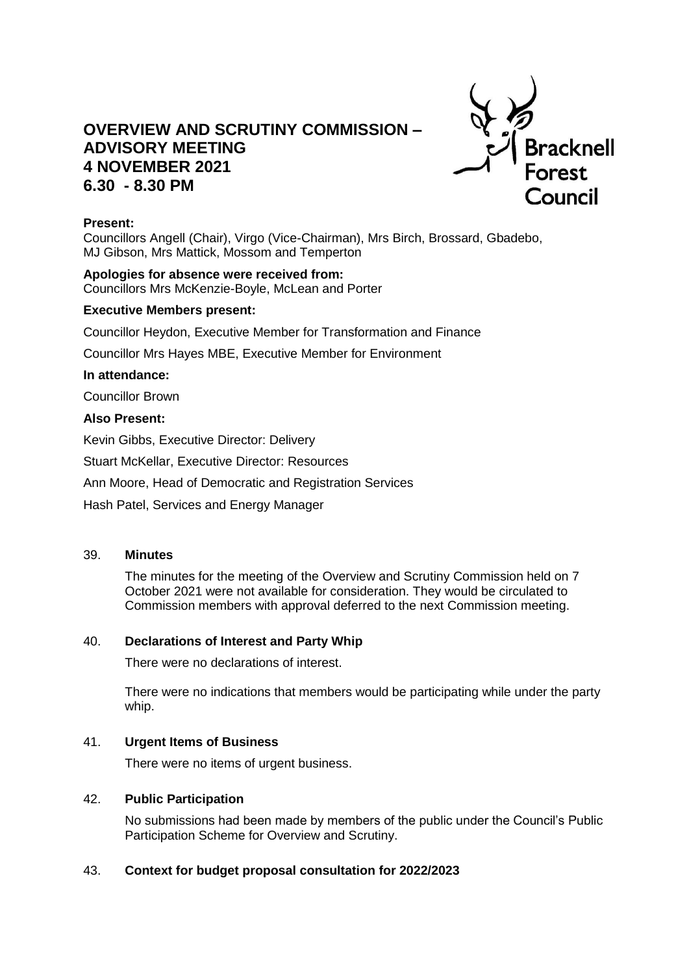# **OVERVIEW AND SCRUTINY COMMISSION – ADVISORY MEETING 4 NOVEMBER 2021 6.30 - 8.30 PM**



# **Present:**

Councillors Angell (Chair), Virgo (Vice-Chairman), Mrs Birch, Brossard, Gbadebo, MJ Gibson, Mrs Mattick, Mossom and Temperton

**Apologies for absence were received from:** Councillors Mrs McKenzie-Boyle, McLean and Porter

## **Executive Members present:**

Councillor Heydon, Executive Member for Transformation and Finance

Councillor Mrs Hayes MBE, Executive Member for Environment

# **In attendance:**

Councillor Brown

## **Also Present:**

Kevin Gibbs, Executive Director: Delivery

Stuart McKellar, Executive Director: Resources

Ann Moore, Head of Democratic and Registration Services

Hash Patel, Services and Energy Manager

#### 39. **Minutes**

The minutes for the meeting of the Overview and Scrutiny Commission held on 7 October 2021 were not available for consideration. They would be circulated to Commission members with approval deferred to the next Commission meeting.

# 40. **Declarations of Interest and Party Whip**

There were no declarations of interest.

There were no indications that members would be participating while under the party whip.

# 41. **Urgent Items of Business**

There were no items of urgent business.

#### 42. **Public Participation**

No submissions had been made by members of the public under the Council's Public Participation Scheme for Overview and Scrutiny.

# 43. **Context for budget proposal consultation for 2022/2023**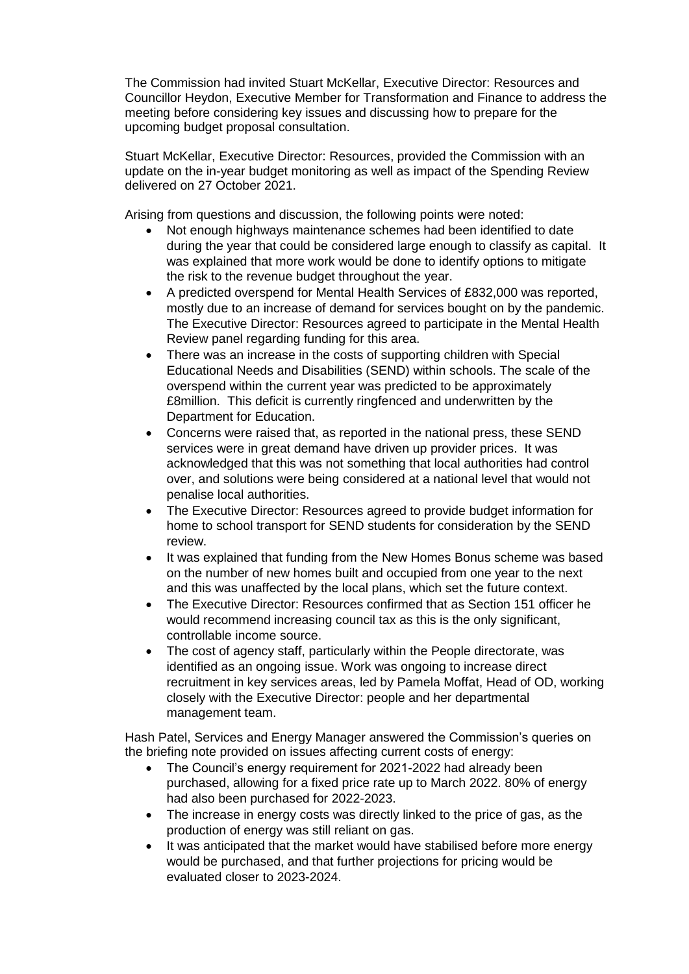The Commission had invited Stuart McKellar, Executive Director: Resources and Councillor Heydon, Executive Member for Transformation and Finance to address the meeting before considering key issues and discussing how to prepare for the upcoming budget proposal consultation.

Stuart McKellar, Executive Director: Resources, provided the Commission with an update on the in-year budget monitoring as well as impact of the Spending Review delivered on 27 October 2021.

Arising from questions and discussion, the following points were noted:

- Not enough highways maintenance schemes had been identified to date during the year that could be considered large enough to classify as capital. It was explained that more work would be done to identify options to mitigate the risk to the revenue budget throughout the year.
- A predicted overspend for Mental Health Services of £832,000 was reported, mostly due to an increase of demand for services bought on by the pandemic. The Executive Director: Resources agreed to participate in the Mental Health Review panel regarding funding for this area.
- There was an increase in the costs of supporting children with Special Educational Needs and Disabilities (SEND) within schools. The scale of the overspend within the current year was predicted to be approximately £8million. This deficit is currently ringfenced and underwritten by the Department for Education.
- Concerns were raised that, as reported in the national press, these SEND services were in great demand have driven up provider prices. It was acknowledged that this was not something that local authorities had control over, and solutions were being considered at a national level that would not penalise local authorities.
- The Executive Director: Resources agreed to provide budget information for home to school transport for SEND students for consideration by the SEND review.
- It was explained that funding from the New Homes Bonus scheme was based on the number of new homes built and occupied from one year to the next and this was unaffected by the local plans, which set the future context.
- The Executive Director: Resources confirmed that as Section 151 officer he would recommend increasing council tax as this is the only significant, controllable income source.
- The cost of agency staff, particularly within the People directorate, was identified as an ongoing issue. Work was ongoing to increase direct recruitment in key services areas, led by Pamela Moffat, Head of OD, working closely with the Executive Director: people and her departmental management team.

Hash Patel, Services and Energy Manager answered the Commission's queries on the briefing note provided on issues affecting current costs of energy:

- The Council's energy requirement for 2021-2022 had already been purchased, allowing for a fixed price rate up to March 2022. 80% of energy had also been purchased for 2022-2023.
- The increase in energy costs was directly linked to the price of gas, as the production of energy was still reliant on gas.
- It was anticipated that the market would have stabilised before more energy would be purchased, and that further projections for pricing would be evaluated closer to 2023-2024.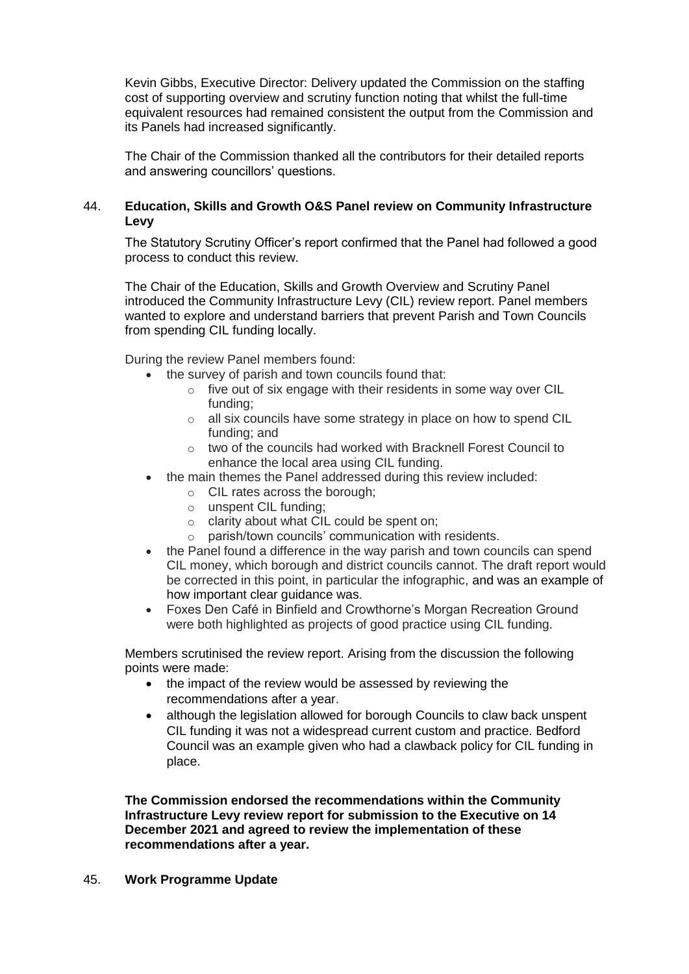Kevin Gibbs, Executive Director: Delivery updated the Commission on the staffing cost of supporting overview and scrutiny function noting that whilst the full-time equivalent resources had remained consistent the output from the Commission and its Panels had increased significantly.

The Chair of the Commission thanked all the contributors for their detailed reports and answering councillors' questions.

# 44. **Education, Skills and Growth O&S Panel review on Community Infrastructure Levy**

The Statutory Scrutiny Officer's report confirmed that the Panel had followed a good process to conduct this review.

The Chair of the Education, Skills and Growth Overview and Scrutiny Panel introduced the Community Infrastructure Levy (CIL) review report. Panel members wanted to explore and understand barriers that prevent Parish and Town Councils from spending CIL funding locally.

During the review Panel members found:

- the survey of parish and town councils found that:
	- o five out of six engage with their residents in some way over CIL funding;
	- $\circ$  all six councils have some strategy in place on how to spend CIL funding; and
	- o two of the councils had worked with Bracknell Forest Council to enhance the local area using CIL funding.
- the main themes the Panel addressed during this review included:
	- o CIL rates across the borough;
	- o unspent CIL funding;
	- o clarity about what CIL could be spent on;
	- o parish/town councils' communication with residents.
- the Panel found a difference in the way parish and town councils can spend CIL money, which borough and district councils cannot. The draft report would be corrected in this point, in particular the infographic, and was an example of how important clear guidance was.
- Foxes Den Café in Binfield and Crowthorne's Morgan Recreation Ground were both highlighted as projects of good practice using CIL funding.

Members scrutinised the review report. Arising from the discussion the following points were made:

- the impact of the review would be assessed by reviewing the recommendations after a year.
- although the legislation allowed for borough Councils to claw back unspent CIL funding it was not a widespread current custom and practice. Bedford Council was an example given who had a clawback policy for CIL funding in place.

**The Commission endorsed the recommendations within the Community Infrastructure Levy review report for submission to the Executive on 14 December 2021 and agreed to review the implementation of these recommendations after a year.**

45. **Work Programme Update**